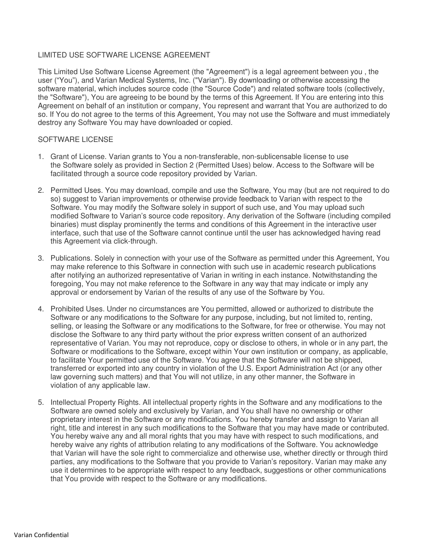## LIMITED USE SOFTWARE LICENSE AGREEMENT

This Limited Use Software License Agreement (the "Agreement") is a legal agreement between you , the user ("You"), and Varian Medical Systems, Inc. ("Varian"). By downloading or otherwise accessing the software material, which includes source code (the "Source Code") and related software tools (collectively, the "Software"), You are agreeing to be bound by the terms of this Agreement. If You are entering into this Agreement on behalf of an institution or company, You represent and warrant that You are authorized to do so. If You do not agree to the terms of this Agreement, You may not use the Software and must immediately destroy any Software You may have downloaded or copied.

## SOFTWARE LICENSE

- 1. Grant of License. Varian grants to You a non-transferable, non-sublicensable license to use the Software solely as provided in Section 2 (Permitted Uses) below. Access to the Software will be facilitated through a source code repository provided by Varian.
- 2. Permitted Uses. You may download, compile and use the Software, You may (but are not required to do so) suggest to Varian improvements or otherwise provide feedback to Varian with respect to the Software. You may modify the Software solely in support of such use, and You may upload such modified Software to Varian's source code repository. Any derivation of the Software (including compiled binaries) must display prominently the terms and conditions of this Agreement in the interactive user interface, such that use of the Software cannot continue until the user has acknowledged having read this Agreement via click-through.
- 3. Publications. Solely in connection with your use of the Software as permitted under this Agreement, You may make reference to this Software in connection with such use in academic research publications after notifying an authorized representative of Varian in writing in each instance. Notwithstanding the foregoing, You may not make reference to the Software in any way that may indicate or imply any approval or endorsement by Varian of the results of any use of the Software by You.
- 4. Prohibited Uses. Under no circumstances are You permitted, allowed or authorized to distribute the Software or any modifications to the Software for any purpose, including, but not limited to, renting, selling, or leasing the Software or any modifications to the Software, for free or otherwise. You may not disclose the Software to any third party without the prior express written consent of an authorized representative of Varian. You may not reproduce, copy or disclose to others, in whole or in any part, the Software or modifications to the Software, except within Your own institution or company, as applicable, to facilitate Your permitted use of the Software. You agree that the Software will not be shipped, transferred or exported into any country in violation of the U.S. Export Administration Act (or any other law governing such matters) and that You will not utilize, in any other manner, the Software in violation of any applicable law.
- 5. Intellectual Property Rights. All intellectual property rights in the Software and any modifications to the Software are owned solely and exclusively by Varian, and You shall have no ownership or other proprietary interest in the Software or any modifications. You hereby transfer and assign to Varian all right, title and interest in any such modifications to the Software that you may have made or contributed. You hereby waive any and all moral rights that you may have with respect to such modifications, and hereby waive any rights of attribution relating to any modifications of the Software. You acknowledge that Varian will have the sole right to commercialize and otherwise use, whether directly or through third parties, any modifications to the Software that you provide to Varian's repository. Varian may make any use it determines to be appropriate with respect to any feedback, suggestions or other communications that You provide with respect to the Software or any modifications.